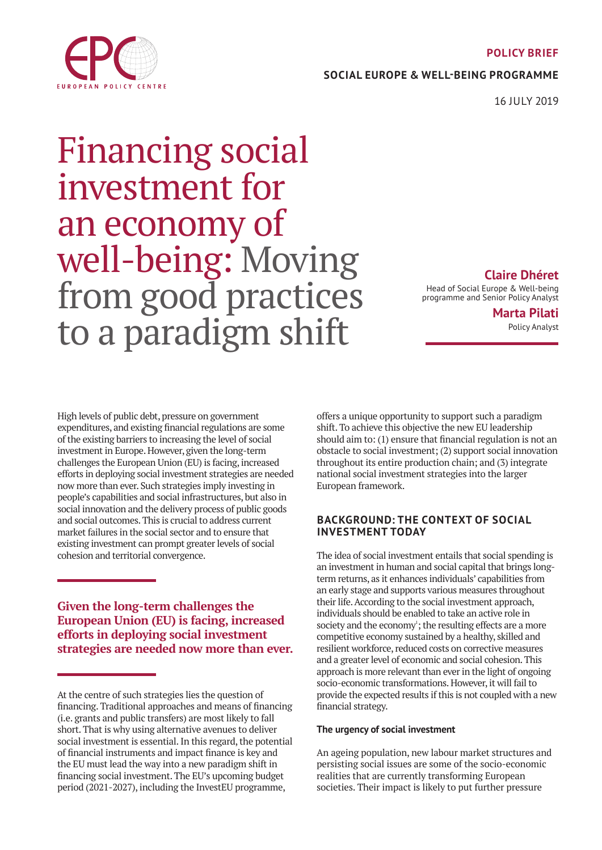#### **POLICY BRIEF**

**SOCIAL EUROPE & WELL-BEING PROGRAMME**

16 JULY 2019

# Financing social investment for an economy of well-being: Moving from good practices to a paradigm shift

**Claire Dhéret**

Head of Social Europe & Well-being programme and Senior Policy Analyst

> **Marta Pilati** Policy Analyst

High levels of public debt, pressure on government expenditures, and existing financial regulations are some of the existing barriers to increasing the level of social investment in Europe. However, given the long-term challenges the European Union (EU) is facing, increased efforts in deploying social investment strategies are needed now more than ever. Such strategies imply investing in people's capabilities and social infrastructures, but also in social innovation and the delivery process of public goods and social outcomes. This is crucial to address current market failures in the social sector and to ensure that existing investment can prompt greater levels of social cohesion and territorial convergence.

**Given the long-term challenges the European Union (EU) is facing, increased efforts in deploying social investment strategies are needed now more than ever.**

offers a unique opportunity to support such a paradigm shift. To achieve this objective the new EU leadership should aim to: (1) ensure that financial regulation is not an obstacle to social investment; (2) support social innovation throughout its entire production chain; and (3) integrate national social investment strategies into the larger European framework.

# **BACKGROUND: THE CONTEXT OF SOCIAL INVESTMENT TODAY**

The idea of social investment entails that social spending is an investment in human and social capital that brings longterm returns, as it enhances individuals' capabilities from an early stage and supports various measures throughout their life. According to the social investment approach, individuals should be enabled to take an active role in society and the economy<sup>1</sup>; the resulting effects are a more competitive economy sustained by a healthy, skilled and resilient workforce, reduced costs on corrective measures and a greater level of economic and social cohesion. This approach is more relevant than ever in the light of ongoing socio-economic transformations. However, it will fail to provide the expected results if this is not coupled with a new financial strategy.

## **The urgency of social investment**

An ageing population, new labour market structures and persisting social issues are some of the socio-economic realities that are currently transforming European societies. Their impact is likely to put further pressure



At the centre of such strategies lies the question of financing. Traditional approaches and means of financing (i.e. grants and public transfers) are most likely to fall short. That is why using alternative avenues to deliver social investment is essential. In this regard, the potential of financial instruments and impact finance is key and the EU must lead the way into a new paradigm shift in financing social investment. The EU's upcoming budget period (2021-2027), including the InvestEU programme,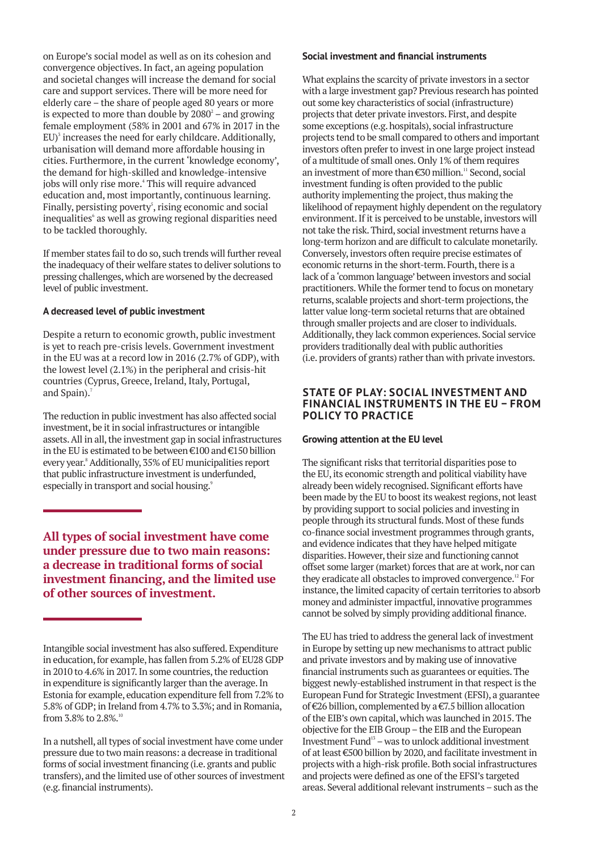on Europe's social model as well as on its cohesion and convergence objectives. In fact, an ageing population and societal changes will increase the demand for social care and support services. There will be more need for elderly care – the share of people aged 80 years or more is expected to more than double by  $2080^2$  – and growing female employment (58% in 2001 and 67% in 2017 in the  $EU$ <sup>3</sup> increases the need for early childcare. Additionally, urbanisation will demand more affordable housing in cities. Furthermore, in the current 'knowledge economy', the demand for high-skilled and knowledge-intensive jobs will only rise more.<sup>4</sup> This will require advanced education and, most importantly, continuous learning. Finally, persisting poverty<sup>5</sup>, rising economic and social inequalities<sup>6</sup> as well as growing regional disparities need to be tackled thoroughly.

If member states fail to do so, such trends will further reveal the inadequacy of their welfare states to deliver solutions to pressing challenges, which are worsened by the decreased level of public investment.

#### **A decreased level of public investment**

Despite a return to economic growth, public investment is yet to reach pre-crisis levels. Government investment in the EU was at a record low in 2016 (2.7% of GDP), with the lowest level (2.1%) in the peripheral and crisis-hit countries (Cyprus, Greece, Ireland, Italy, Portugal, and Spain).<sup>7</sup>

The reduction in public investment has also affected social investment, be it in social infrastructures or intangible assets. All in all, the investment gap in social infrastructures in the EU is estimated to be between €100 and €150 billion every year.8 Additionally, 35% of EU municipalities report that public infrastructure investment is underfunded, especially in transport and social housing.<sup>9</sup>

**All types of social investment have come under pressure due to two main reasons: a decrease in traditional forms of social investment financing, and the limited use of other sources of investment.**

#### **Social investment and financial instruments**

What explains the scarcity of private investors in a sector with a large investment gap? Previous research has pointed out some key characteristics of social (infrastructure) projects that deter private investors. First, and despite some exceptions (e.g. hospitals), social infrastructure projects tend to be small compared to others and important investors often prefer to invest in one large project instead of a multitude of small ones. Only 1% of them requires an investment of more than  $\epsilon$ 30 million.<sup>11</sup> Second, social investment funding is often provided to the public authority implementing the project, thus making the likelihood of repayment highly dependent on the regulatory environment. If it is perceived to be unstable, investors will not take the risk. Third, social investment returns have a long-term horizon and are difficult to calculate monetarily. Conversely, investors often require precise estimates of economic returns in the short-term. Fourth, there is a lack of a 'common language' between investors and social practitioners. While the former tend to focus on monetary returns, scalable projects and short-term projections, the latter value long-term societal returns that are obtained through smaller projects and are closer to individuals. Additionally, they lack common experiences. Social service providers traditionally deal with public authorities (i.e. providers of grants) rather than with private investors.

### **STATE OF PLAY: SOCIAL INVESTMENT AND FINANCIAL INSTRUMENTS IN THE EU – FROM POLICY TO PRACTICE**

#### **Growing attention at the EU level**

The significant risks that territorial disparities pose to the EU, its economic strength and political viability have already been widely recognised. Significant efforts have been made by the EU to boost its weakest regions, not least by providing support to social policies and investing in people through its structural funds. Most of these funds co-finance social investment programmes through grants, and evidence indicates that they have helped mitigate disparities. However, their size and functioning cannot offset some larger (market) forces that are at work, nor can they eradicate all obstacles to improved convergence.<sup>12</sup> For instance, the limited capacity of certain territories to absorb money and administer impactful, innovative programmes cannot be solved by simply providing additional finance.

The EU has tried to address the general lack of investment in Europe by setting up new mechanisms to attract public and private investors and by making use of innovative financial instruments such as guarantees or equities. The biggest newly-established instrument in that respect is the European Fund for Strategic Investment (EFSI), a guarantee of €26 billion, complemented by a €7.5 billion allocation of the EIB's own capital, which was launched in 2015. The objective for the EIB Group – the EIB and the European Investment Fund13 – was to unlock additional investment of at least €500 billion by 2020, and facilitate investment in projects with a high-risk profile. Both social infrastructures and projects were defined as one of the EFSI's targeted areas. Several additional relevant instruments – such as the

Intangible social investment has also suffered. Expenditure in education, for example, has fallen from 5.2% of EU28 GDP in 2010 to 4.6% in 2017. In some countries, the reduction in expenditure is significantly larger than the average. In Estonia for example, education expenditure fell from 7.2% to 5.8% of GDP; in Ireland from 4.7% to 3.3%; and in Romania, from 3.8% to  $2.8\%$ .<sup>10</sup>

In a nutshell, all types of social investment have come under pressure due to two main reasons: a decrease in traditional forms of social investment financing (i.e. grants and public transfers), and the limited use of other sources of investment (e.g. financial instruments).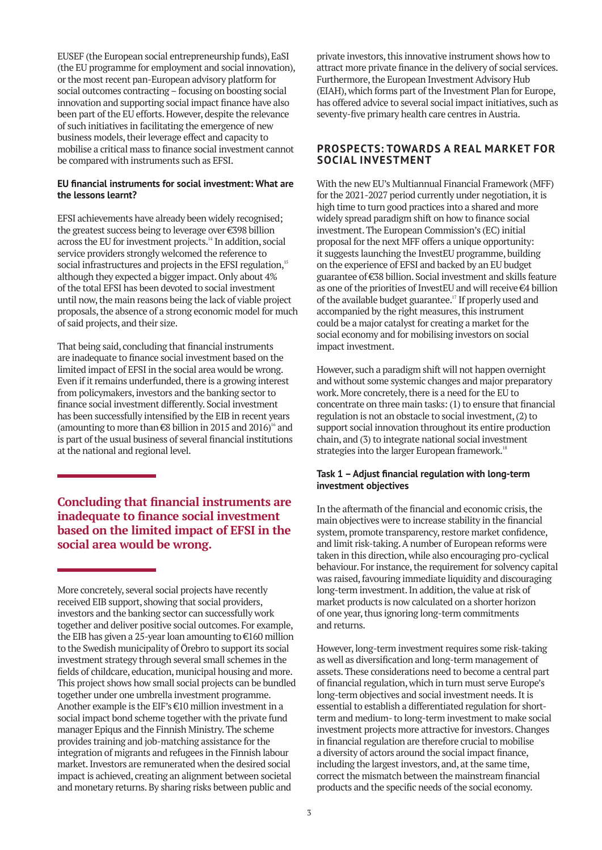EUSEF (the European social entrepreneurship funds), EaSI (the EU programme for employment and social innovation), or the most recent pan-European advisory platform for social outcomes contracting – focusing on boosting social innovation and supporting social impact finance have also been part of the EU efforts. However, despite the relevance of such initiatives in facilitating the emergence of new business models, their leverage effect and capacity to mobilise a critical mass to finance social investment cannot be compared with instruments such as EFSI.

#### **EU financial instruments for social investment: What are the lessons learnt?**

EFSI achievements have already been widely recognised; the greatest success being to leverage over €398 billion across the EU for investment projects.<sup>14</sup> In addition, social service providers strongly welcomed the reference to social infrastructures and projects in the EFSI regulation,<sup>15</sup> although they expected a bigger impact. Only about 4% of the total EFSI has been devoted to social investment until now, the main reasons being the lack of viable project proposals, the absence of a strong economic model for much of said projects, and their size.

That being said, concluding that financial instruments are inadequate to finance social investment based on the limited impact of EFSI in the social area would be wrong. Even if it remains underfunded, there is a growing interest from policymakers, investors and the banking sector to finance social investment differently. Social investment has been successfully intensified by the EIB in recent years (amounting to more than  $\epsilon$ 8 billion in 2015 and 2016)<sup>16</sup> and is part of the usual business of several financial institutions at the national and regional level.

# **Concluding that financial instruments are inadequate to finance social investment based on the limited impact of EFSI in the social area would be wrong.**

More concretely, several social projects have recently received EIB support, showing that social providers, investors and the banking sector can successfully work together and deliver positive social outcomes. For example, the EIB has given a 25-year loan amounting to €160 million to the Swedish municipality of Örebro to support its social investment strategy through several small schemes in the fields of childcare, education, municipal housing and more. This project shows how small social projects can be bundled together under one umbrella investment programme. Another example is the EIF's €10 million investment in a social impact bond scheme together with the private fund manager Epiqus and the Finnish Ministry. The scheme provides training and job-matching assistance for the integration of migrants and refugees in the Finnish labour market. Investors are remunerated when the desired social impact is achieved, creating an alignment between societal and monetary returns. By sharing risks between public and

private investors, this innovative instrument shows how to attract more private finance in the delivery of social services. Furthermore, the European Investment Advisory Hub (EIAH), which forms part of the Investment Plan for Europe, has offered advice to several social impact initiatives, such as seventy-five primary health care centres in Austria.

# **PROSPECTS: TOWARDS A REAL MARKET FOR SOCIAL INVESTMENT**

With the new EU's Multiannual Financial Framework (MFF) for the 2021-2027 period currently under negotiation, it is high time to turn good practices into a shared and more widely spread paradigm shift on how to finance social investment. The European Commission's (EC) initial proposal for the next MFF offers a unique opportunity: it suggests launching the InvestEU programme, building on the experience of EFSI and backed by an EU budget guarantee of €38 billion. Social investment and skills feature as one of the priorities of InvestEU and will receive €4 billion of the available budget guarantee.<sup>17</sup> If properly used and accompanied by the right measures, this instrument could be a major catalyst for creating a market for the social economy and for mobilising investors on social impact investment.

However, such a paradigm shift will not happen overnight and without some systemic changes and major preparatory work. More concretely, there is a need for the EU to concentrate on three main tasks: (1) to ensure that financial regulation is not an obstacle to social investment, (2) to support social innovation throughout its entire production chain, and (3) to integrate national social investment strategies into the larger European framework.<sup>18</sup>

#### **Task 1 – Adjust financial regulation with long-term investment objectives**

In the aftermath of the financial and economic crisis, the main objectives were to increase stability in the financial system, promote transparency, restore market confidence, and limit risk-taking. A number of European reforms were taken in this direction, while also encouraging pro-cyclical behaviour. For instance, the requirement for solvency capital was raised, favouring immediate liquidity and discouraging long-term investment. In addition, the value at risk of market products is now calculated on a shorter horizon of one year, thus ignoring long-term commitments and returns.

However, long-term investment requires some risk-taking as well as diversification and long-term management of assets. These considerations need to become a central part of financial regulation, which in turn must serve Europe's long-term objectives and social investment needs. It is essential to establish a differentiated regulation for shortterm and medium- to long-term investment to make social investment projects more attractive for investors. Changes in financial regulation are therefore crucial to mobilise a diversity of actors around the social impact finance, including the largest investors, and, at the same time, correct the mismatch between the mainstream financial products and the specific needs of the social economy.